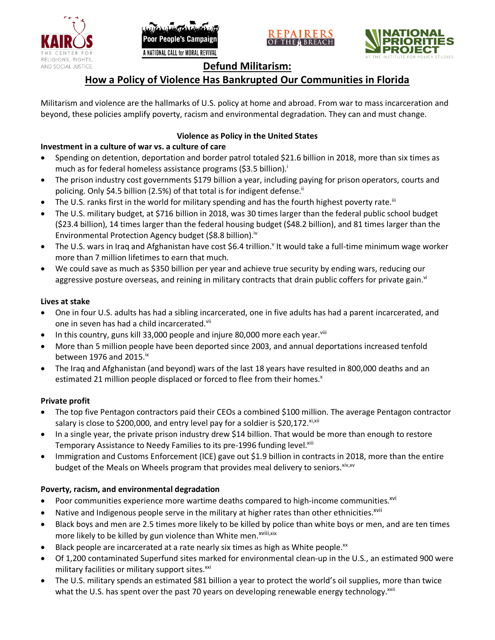





## **Defund Militarism:**

# **How a Policy of Violence Has Bankrupted Our Communities in Florida**

Militarism and violence are the hallmarks of U.S. policy at home and abroad. From war to mass incarceration and beyond, these policies amplify poverty, racism and environmental degradation. They can and must change.

## **Violence as Policy in the United States**

## **Investment in a culture of war vs. a culture of care**

- Spending on detention, deportation and border patrol totaled \$21.6 billion in 2018, more than six times as much as for federal homeless assistance programs (\$3.5 billion).<sup>i</sup>
- The prison industry cost governments \$179 billion a year, including paying for prison operators, courts and policing. Only \$4.5 billion (2.5%) of that total is for indigent defense.<sup>ii</sup>
- The U.S. ranks first in the world for military spending and has the fourth highest poverty rate.<sup>iii</sup>
- The U.S. military budget, at \$716 billion in 2018, was 30 times larger than the federal public school budget (\$23.4 billion), 14 times larger than the federal housing budget (\$48.2 billion), and 81 times larger than the Environmental Protection Agency budget (\$8.8 billion).<sup>iv</sup>
- The U.S. wars in Iraq and Afghanistan have cost \$6.4 trillion.<sup>v</sup> It would take a full-time minimum wage worker more than 7 million lifetimes to earn that much.
- We could save as much as \$350 billion per year and achieve true security by ending wars, reducing our aggressive posture overseas, and reining in military contracts that drain public coffers for private gain.<sup>vi</sup>

#### **Lives at stake**

- One in four U.S. adults has had a sibling incarcerated, one in five adults has had a parent incarcerated, and one in seven has had a child incarcerated.vii
- In this country, guns kill 33,000 people and injure 80,000 more each year. $v_{\text{lin}}$
- More than 5 million people have been deported since 2003, and annual deportations increased tenfold between 1976 and 2015. $\mathrm{i}$ <sup>x</sup>
- The Iraq and Afghanistan (and beyond) wars of the last 18 years have resulted in 800,000 deaths and an estimated 21 million people displaced or forced to flee from their homes.<sup>x</sup>

#### **Private profit**

- The top five Pentagon contractors paid their CEOs a combined \$100 million. The average Pentagon contractor salary is close to \$200,000, and entry level pay for a soldier is \$20,172. xi,xii
- In a single year, the private prison industry drew \$14 billion. That would be more than enough to restore Temporary Assistance to Needy Families to its pre-1996 funding level.<sup>xiii</sup>
- Immigration and Customs Enforcement (ICE) gave out \$1.9 billion in contracts in 2018, more than the entire budget of the Meals on Wheels program that provides meal delivery to seniors. Xiv, XV

#### **Poverty, racism, and environmental degradation**

- Poor communities experience more wartime deaths compared to high-income communities.<sup>xvi</sup>
- Native and Indigenous people serve in the military at higher rates than other ethnicities.<sup>xvii</sup>
- Black boys and men are 2.5 times more likely to be killed by police than white boys or men, and are ten times more likely to be killed by gun violence than White men.<sup>xviii,xix</sup>
- Black people are incarcerated at a rate nearly six times as high as White people.<sup>xx</sup>
- Of 1,200 contaminated Superfund sites marked for environmental clean-up in the U.S., an estimated 900 were military facilities or military support sites.<sup>xxi</sup>
- The U.S. military spends an estimated \$81 billion a year to protect the world's oil supplies, more than twice what the U.S. has spent over the past 70 years on developing renewable energy technology.<sup>xxii</sup>